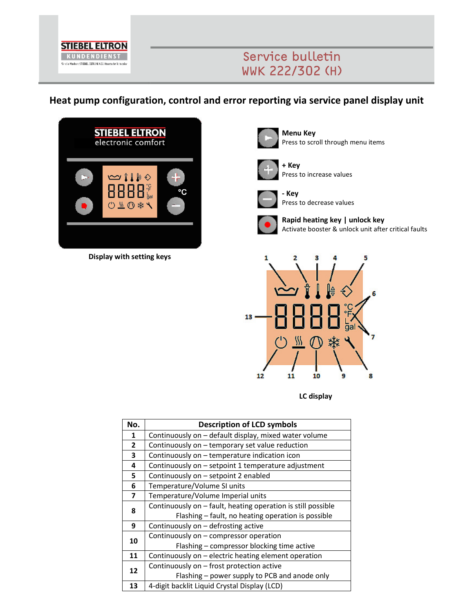

## Service bulletin **WWK 222/302 (H)**

**Heat pump configuration, control and error reporting via service panel display unit** 



**Display with setting keys**



**Menu Key**  Press to scroll through menu items



**+ Key**  Press to increase values



**- Key**  Press to decrease values



**Rapid heating key | unlock key**  Activate booster & unlock unit after critical faults



**LC display**

| No.          | <b>Description of LCD symbols</b>                            |  |  |  |
|--------------|--------------------------------------------------------------|--|--|--|
| 1            | Continuously on - default display, mixed water volume        |  |  |  |
| $\mathbf{2}$ | Continuously on - temporary set value reduction              |  |  |  |
| 3            | Continuously on - temperature indication icon                |  |  |  |
| 4            | Continuously on - setpoint 1 temperature adjustment          |  |  |  |
| 5            | Continuously on - setpoint 2 enabled                         |  |  |  |
| 6            | Temperature/Volume SI units                                  |  |  |  |
| 7            | Temperature/Volume Imperial units                            |  |  |  |
| 8            | Continuously on - fault, heating operation is still possible |  |  |  |
|              | Flashing - fault, no heating operation is possible           |  |  |  |
| 9            | Continuously on - defrosting active                          |  |  |  |
| 10           | Continuously on - compressor operation                       |  |  |  |
|              | Flashing - compressor blocking time active                   |  |  |  |
| 11           | Continuously on - electric heating element operation         |  |  |  |
| 12           | Continuously on - frost protection active                    |  |  |  |
|              | Flashing - power supply to PCB and anode only                |  |  |  |
| 13           | 4-digit backlit Liquid Crystal Display (LCD)                 |  |  |  |